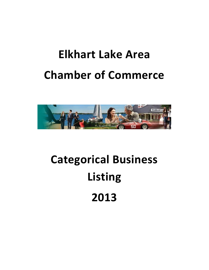# **Elkhart Lake Area Chamber of Commerce**



# **Categorical Business Listing 2013**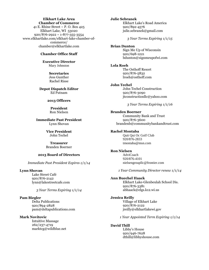#### **Elkhart Lake Area Chamber of Commerce**

41 E. Rhine Street  $\sim$  P. O. Box 425 Elkhart Lake, WI 53020 920/876-2922 ~ 1-877-355-3554 www.elkhartlake.com/elkhart-lake-chamber-ofcommerce/ chamber@elkhartlake.com

#### **Chamber Office Staff**

#### **Executive Director** Mary Johnston

**Secretaries** Jess Gunther Rachel Risse

**Depot Dispatch Editor** Ed Putnam

#### **2013 Officers**

**President** Ron Nielsen

**Immediate Past President** Lynn Shovan

> **Vice President**  John Techel

> **Treasurer** Branden Boerner

#### **2013 Board of Directors**

*Immediate Past President Expires 1/1/14*

#### **Lynn Shovan**

Lake Street Café 920/876-2142 lynn@lakestreetcafe.com

*3 Year Terms Expiring 1/1/14*

#### **Pam Biegler**

Delta Publications 920/894-2828 pam@deltapublications.com

#### **Mark Novitovic**

Intuitive Massage 262/237-4719 marktcg@wildblue.net

## **Julie Sebranek**

Elkhart Lake's Road America 920/892-4576 julie.sebranek@gmail.com

*3 Year Terms Expiring 1/1/15*

#### **Brian Dunton**

Sign Me Up of Wisconsin 920/698-1221 bdunton@signmeupofwi.com

#### **Lola Roeh**

The Osthoff Resort 920/876-5832 lroeh@osthoff.com

#### **John Techel**

John Techel Construction 920/876-3090 jtconstructionllc@yahoo.com

*3 Year Terms Expiring 1/1/16*

#### **Branden Boerner**

Community Bank and Trust 920/876-3600 brandenb@communitybankandtrust.com

#### **Rachel Montaba**

Quit Qui Oc Golf Club 920/876-2833 tmontaba@msn.com

#### **Ron Nielsen**

AdviCoach 920/876-4101 nielsengroupllc@frontier.com

*1 Year Community Director renew 1/1/14*

#### **Ann Buechel Haack**

Elkhart Lake-Glenbeulah School Dis. 920/876-3381 abhaack@elgs.k12.wi.us

#### **Jessica Reilly**

Village of Elkhart Lake 920/876-2122 jreilly@elkhartlakewi.gov

*1 Year Appointed Term Expiring 1/1/14*

#### **David Thill**

Libby's House 920/946-7628 dthill@libbyshouse.com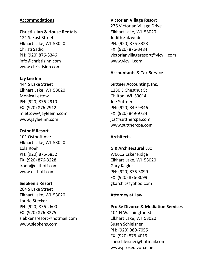#### **Accommodations**

#### **Christi's Inn & House Rentals**

121 S. East Street Elkhart Lake, WI 53020 Christi Sadiq PH: (920) 876-3346 info@christisinn.com www.christisinn.com

#### **Jay Lee Inn**

444 S Lake Street Elkhart Lake, WI 53020 Monica Lettow PH: (920) 876-2910 FX: (920) 876-2912 mlettow@jayleeinn.com www.jayleeinn.com

#### **Osthoff Resort**

101 Osthoff Ave Elkhart Lake, WI 53020 Lola Roeh PH: (920) 876-5832 FX: (920) 876-3228 lroeh@osthoff.com www.osthoff.com

#### **Siebken's Resort**

284 S Lake Street Elkhart Lake, WI 53020 Laurie Stecker PH: (920) 876-2600 FX: (920) 876-3275 siebkensresort@hotmail.com www.siebkens.com

#### **Victorian Village Resort**

276 Victorian Village Drive Elkhart Lake, WI 53020 Judith Salzwedel PH: (920) 876-3323 FX: (920) 876-3484 victorianvillageresort@vicvill.com www.vicvill.com

#### **Accountants & Tax Service**

#### **Suttner Accounting, Inc.**

1230 E Chestnut St Chilton, WI 53014 Joe Suttner PH: (920) 849-9346 FX: (920) 849-9734 jcs@suttnercpa.com www.suttnercpa.com

#### **Architects**

#### **G K Architectural LLC**

W6612 Esker Ridge Elkhart Lake, WI 53020 Gary Kegler PH: (920) 876-3099 FX: (920) 876-3099 gkarchit@yahoo.com

#### **Attorney at Law**

#### **Pro Se Divorce & Mediation Services**

104 N Washington St Elkhart Lake, WI 53020 Susan Schleisner PH: (920) 980-7055 FX: (920) 876-4019 sueschleisner@hotmail.com www.prosedivorce.net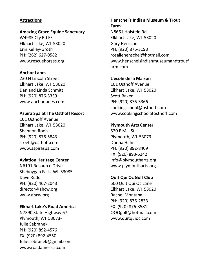#### **Attractions**

#### **Amazing Grace Equine Sanctuary**

W4985 Cty Rd FF Elkhart Lake, WI 53020 Erin Kelley-Groth PH: (262) 627-0582 www.rescuehorses.org

#### **Anchor Lanes**

230 N Lincoln Street Elkhart Lake, WI 53020 Dan and Linda Schmitt PH: (920) 876-3339 www.anchorlanes.com

#### **Aspira Spa at The Osthoff Resort**

101 Osthoff Avenue Elkhart Lake, WI 53020 Shannon Roeh PH: (920) 876-5843 sroeh@osthoff.com www.aspiraspa.com

#### **Aviation Heritage Center**

N6191 Resource Drive Sheboygan Falls, WI 53085 Dave Rudd PH: (920) 467-2043 director@ahcw.org www.ahcw.org

#### **Elkhart Lake's Road America**

N7390 State Highway 67 Plymouth, WI 53073- Julie Sebranek PH: (920) 892-4576 FX: (920) 892-4550 Julie.sebranek@gmail.com www.roadamerica.com

## **Henschel's Indian Museum & Trout Farm** N8661 Holstein Rd Elkhart Lake, WI 53020 Gary Henschel PH: (920) 876-3193 rosaliehenschel@hotmail.com www.henschelsindianmuseumandtroutf arm.com

#### **L'ecole de la Maison**

101 Osthoff Avenue Elkhart Lake, WI 53020 Scott Baker PH: (920) 876-3366 cookingschool@osthoff.com www.cookingschoolatosthoff.com

#### **Plymouth Arts Center**

520 E Mill St Plymouth, WI 53073 Donna Hahn PH: (920) 892-8409 FX: (920) 893-5242 info@plymoutharts.org www.plymoutharts.org

#### **Quit Qui Oc Golf Club**

500 Quit Qui Oc Lane Elkhart Lake, WI 53020 Rachel Montaba PH: (920) 876-2833 FX: (920) 876-3581 QQOgolf@hotmail.com www.quitquioc.com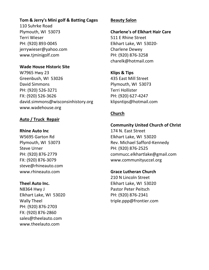#### **Tom & Jerry's Mini golf & Batting Cages**

110 Suhrke Road Plymouth, WI 53073 Terri Wieser PH: (920) 893-0045 jerrywieser@yahoo.com www.tjminigolf.com

#### **Wade House Historic Site**

W7965 Hwy 23 Greenbush, WI 53026 David Simmons PH: (920) 526-3271 FX: (920) 526-3626 david.simmons@wisconsinhistory.org www.wadehouse.org

#### **Auto / Truck Repair**

#### **Rhine Auto Inc**

W5695 Garton Rd Plymouth, WI 53073 Steve Urner PH: (920) 876-2779 FX: (920) 876-3079 steve@rhineauto.com www.rhineauto.com

#### **Theel Auto Inc.**

N8364 Hwy J Elkhart Lake, WI 53020 Wally Theel PH: (920) 876-2703 FX: (920) 876-2860 sales@theelauto.com www.theelauto.com

#### **Beauty Salon**

**Charlene's of Elkhart Hair Care**

511 E Rhine Street Elkhart Lake, WI 53020- Charlene Dewey PH: (920) 876-3258 charelk@hotmail.com

**Klips & Tips** 435 East Mill Street Plymouth, WI 53073 Terri Hollister PH: (920) 627-4247 klipsntips@hotmail.com

## **Church**

#### **Community United Church of Christ**

174 N. East Street Elkhart Lake, WI 53020 Rev. Michael Safford-Kennedy PH: (920) 876-2525 commucc.elkhartlake@gmail.com www.communityuccel.org

#### **Grace Lutheran Church**

210 N Lincoln Street Elkhart Lake, WI 53020 Pastor Peter Peitsch PH: (920) 876-2341 triple.ppp@frontier.com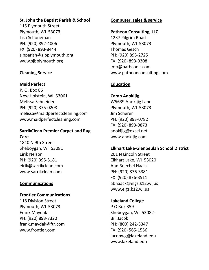## **St. John the Baptist Parish & School**

115 Plymouth Street Plymouth, WI 53073 Lisa Schoneman PH: (920) 892-4006 FX: (920) 893-8444 sjbparish@sjbplymouth.org www.sjbplymouth.org

## **Cleaning Service**

#### **Maid Perfect**

P. O. Box 86 New Holstein, WI 53061 Melissa Schneider PH: (920) 375-0208 melissa@maidperfectcleaning.com www.maidperfectcleaning.com

## **SarrikClean Premier Carpet and Rug Care**

1810 N 9th Street Sheboygan, WI 53081 Eirik Nelson PH: (920) 395-5181 eirik@sarrikclean.com www.sarrikclean.com

#### **Communications**

#### **Frontier Communications**

118 Division Street Plymouth, WI 53073 Frank Maydak PH: (920) 893-7320 frank.maydak@ftr.com www.frontier.com

#### **Computer, sales & service**

#### **Patheon Consulting, LLC**

1237 Pilgrim Road Plymouth, WI 53073 Thomas Gesch PH: (920) 893-2725 FX: (920) 893-0308 info@pathconit.com www.patheonconsulting.com

#### **Education**

**Camp Anokijig** W5639 Anokijig Lane Plymouth, WI 53073 Jim Scherer PH: (920) 893-0782 FX: (920) 893-0873 anokijig@excel.net www.anokijig.com

#### **Elkhart Lake-Glenbeulah School District**

201 N Lincoln Street Elkhart Lake, WI 53020 Ann Buechel Haack PH: (920) 876-3381 FX: (920) 876-3511 abhaack@elgs.k12.wi.us www.elgs.k12.wi.us

#### **Lakeland College**

P O Box 359 Sheboygan, WI 53082- Bill Jacob PH: (800) 242-3347 FX: (920) 565-1556 jacobwg@lakeland.edu www.lakeland.edu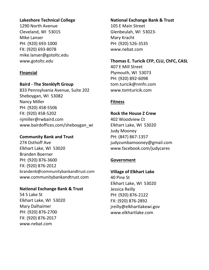## **Lakeshore Technical College**

1290 North Avenue Cleveland, WI 53015 Mike Lanser PH: (920) 693-1000 FX: (920) 693-8078 mike.lanser@gotoltc.edu www.gotoltc.edu

## **Financial**

#### **Baird - The Stenklyft Group**

833 Pennsylvania Avenue, Suite 202 Sheboygan, WI 53082 Nancy Miller PH: (920) 458-5506 FX: (920) 458-5202 njmiller@rwbaird.com www.bairdoffices.com/sheboygan\_wi

#### **Community Bank and Trust**

274 Osthoff Ave Elkhart Lake, WI 53020 Branden Boerner PH: (920) 876-3600 FX: (920) 876-2012 brandenb@communitybankandtrust.com www.communitybankandtrust.com

## **National Exchange Bank & Trust**

54 S Lake St Elkhart Lake, WI 53020 Mary Dalhaimer PH: (920) 876-2700 FX: (920) 876-2017 www.nebat.com

## **National Exchange Bank & Trust**

105 E Main Street Glenbeulah, WI 53023- Mary Kracht PH: (920) 526-3535 www.nebat.com

## **Thomas E. Turicik CFP, CLU, ChFC, CASL**

407 E Mill Street Plymouth, WI 53073 PH: (920) 892-6098 tom.turicik@nmfn.com www.tomturicik.com

## **Fitness**

#### **Rock the House Z Crew**

402 Woodview Ct Elkhart Lake, WI 53020 Judy Mooney PH: (847) 867-1357 judyzumbamooney@gmail.com www.facebook.com/judycares

## **Government**

#### **Village of Elkhart Lake**

40 Pine St Elkhart Lake, WI 53020 Jessica Reilly PH: (920) 876-2122 FX: (920) 876-2892 jreilly@elkhartlakewi.gov www.elkhartlake.com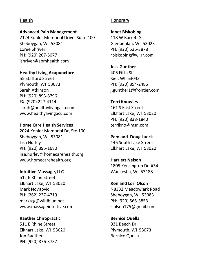#### **Health**

#### **Advanced Pain Management**

2124 Kohler Memorial Drive, Suite 100 Sheboygan, WI 53081 Loree Shriver PH: (920) 207-5077 lshriver@apmhealth.com

#### **Healthy Living Acupuncture**

55 Stafford Street Plymouth, WI 53073 Sarah Atkinson PH: (920) 893-8796 FX: (920) 227-4114 sarah@healthylivingacu.com www.healthylivingacu.com

#### **Home Care Health Services**

2024 Kohler Memorial Dr, Ste 100 Sheboygan, WI 53081 Lisa Hurley PH: (920) 395-1680 lisa.hurley@homecarehealth.org www.homecarehealth.org

#### **Intuitive Massage, LLC**

511 E Rhine Street Elkhart Lake, WI 53020 Mark Novitovic PH: (262) 237-4719 marktcg@wildblue.net www.massageintuitive.com

#### **Raether Chiropractic**

511 E Rhine Street Elkhart Lake, WI 53020 Jon Raether PH: (920) 876-3737

#### **Honorary**

**Janet Biskobing** 118 W Barrett St Glenbeulah, WI 53023 PH: (920) 526-3878 rbiskobing@wi.rr.com

#### **Jess Gunther**

406 Fifth St Kiel, WI 53042 PH: (920) 894-2486 j.gunther1@frontier.com

#### **Terri Knowles**

161 S East Street Elkhart Lake, WI 53020 PH: (920) 838-1840 terrikno@msn.com

**Pam and Doug Lueck** 146 South Lake Street Elkhart Lake, WI 53020

**Harriett Nelson** 1805 Kensington Dr #34 Waukesha, WI 53188

#### **Ron and Lori Olson** N8332 Meadowlark Road Sheboygan, WI 53083 PH: (920) 565-3853 r.olson175@gmail.com

**Bernice Quella** 931 Beech Dr Plymouth, WI 53073 Bernice Quella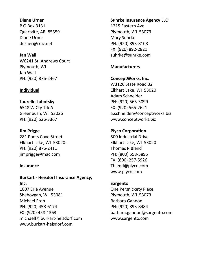#### **Diane Urner**

P O Box 3131 Quartzite, AR 85359- Diane Urner durner@rraz.net

#### **Jan Wall**

W6241 St. Andrews Court Plymouth, WI Jan Wall PH: (920) 876-2467

#### **Individual**

#### **Laurelle Lubotsky**

6548 W Cty Trk A Greenbush, WI 53026 PH: (920) 526-3367

#### **Jim Prigge**

281 Poets Cove Street Elkhart Lake, WI 53020- PH: (920) 876-2411 jimprigge@mac.com

#### **Insurance**

**Burkart - Heisdorf Insurance Agency, Inc.** 1807 Erie Avenue Sheboygan, WI 53081 Michael Froh PH: (920) 458-6174 FX: (920) 458-1363 michaelf@burkart-heisdorf.com www.burkart-heisdorf.com

#### **Suhrke Insurance Agency LLC**

1215 Eastern Ave Plymouth, WI 53073 Mary Suhrke PH: (920) 893-8108 FX: (920) 892-2821 suhrke@suhrke.com

#### **Manufacturers**

#### **ConceptWorks, Inc**.

W3126 State Road 32 Elkhart Lake, WI 53020 Adam Schneider PH: (920) 565-3099 FX: (920) 565-2621 a.schneider@conceptworks.biz www.conceptworks.biz

#### **Plyco Corporation**

500 Industrial Drive Elkhart Lake, WI 53020 Thomas R Blend PH: (800) 558-5895 FX: (800) 257-5926 Tblend@plyco.com www.plyco.com

#### **Sargento**

One Persnickety Place Plymouth, WI 53073 Barbara Gannon PH: (920) 893-8484 barbara.gannon@sargento.com www.sargento.com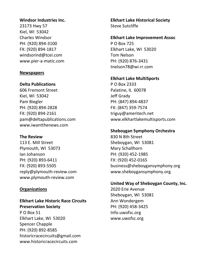#### **Windsor Industries Inc.**

23173 Hwy 57 Kiel, WI 53042 Charles Windsor PH: (920) 894-3100 FX: (920) 894-1817 windsorind@tcei.com www.pier-a-matic.com

#### **Newspapers**

#### **Delta Publications**

606 Fremont Street Kiel, WI 53042 Pam Biegler PH: (920) 894-2828 FX: (920) 894-2161 pam@deltapublications.com www.iwantthenews.com

#### **The Review**

113 E. Mill Street Plymouth, WI 53073 Ian Johanson PH: (920) 893-6411 FX: (920) 893-5505 reply@plymouth-review.com www.plymouth-review.com

#### **Organizations**

**Elkhart Lake Historic Race Circuits Preservation Society** P O Box 51 Elkhart Lake, WI 53020 Spencer Chapple PH: (920) 892-8585 historicracecircuits@gmail.com www.historicracecircuits.com

**Elkhart Lake Historical Society** Steve Sutcliffe

#### **Elkhart Lake Improvement Assoc**

P O Box 725 Elkhart Lake, WI 53020 Tom Nelson PH: (920) 876-3431 tnelson78@wi.rr.com

#### **Elkhart Lake MultiSports**

P O Box 2333 Palatine, IL 60078 Jeff Grady PH: (847) 894-4837 FX: (847) 359-7574 triguy@ameritech.net www.elkhartlakemultisports.com

#### **Sheboygan Symphony Orchestra**

830 N 8th Street Sheboygan, WI 53081 Mary Schallhorn PH: (920) 452-1985 FX: (920) 452-0165 business@sheboygansymphony.org www.sheboygansymphony.org

#### **United Way of Sheboygan County, Inc.**

2020 Erie Avenue Sheboygan, WI 53081 Ann Wondergem PH: (920) 458-3425 Info.uwofsc.org www.uwofsc.org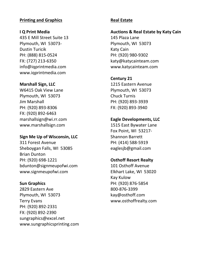#### **Printing and Graphics**

#### **I Q Print Media**

435 E Mill Street Suite 13 Plymouth, WI 53073- Dustin Turicik PH: (888) 815-0524 FX: (727) 213-6350 info@iqprintmedia.com www.iqprintmedia.com

#### **Marshall Sign, LLC**

W6415 Oak View Lane Plymouth, WI 53073 Jim Marshall PH: (920) 893-8306 FX: (920) 892-6463 marshallsign@wi.rr.com www.marshallsign.com

#### **Sign Me Up of Wisconsin, LLC**

311 Forest Avenue Sheboygan Falls, WI 53085 Brian Dunton PH: (920) 698-1221 bdunton@signmeupofwi.com www.signmeupofwi.com

#### **Sun Graphics**

2829 Eastern Ave Plymouth, WI 53073 Terry Evans PH: (920) 892-2331 FX: (920) 892-2390 sungraphics@excel.net www.sungraphicsprinting.com

#### **Real Estate**

#### **Auctions & Real Estate by Katy Cain**

145 Plaza Lane Plymouth, WI 53073 Katy Cain PH: (920) 980-9302 katy@katycainteam.com www.katycainteam.com

#### **Century 21**

1215 Eastern Avenue Plymouth, WI 53073 Chuck Turnis PH: (920) 893-3939 FX: (920) 893-3940

#### **Eagle Developments, LLC**

1515 East Bywater Lane Fox Point, WI 53217- Shannon Barrett PH: (414) 588-5919 eaglesjb@gmail.com

#### **Osthoff Resort Realty**

101 Osthoff Avenue Elkhart Lake, WI 53020 Kay Kulow PH: (920) 876-5854 800-876-3399 kay@osthoff.com www.osthoffrealty.com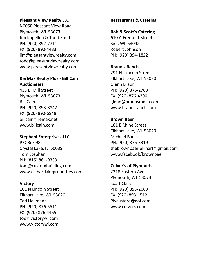#### **Pleasant View Realty LLC**

N6050 Pleasant View Road Plymouth, WI 53073 Jim Kapellen & Todd Smith PH: (920) 892-7711 FX: (920) 892-4433 jim@pleasantviewrealty.com todd@pleasantviewrealty.com www.pleasantviewrealty.com

#### **Re/Max Realty Plus - Bill Cain Auctioneers**

433 E. Mill Street Plymouth, WI 53073- Bill Cain PH: (920) 893-8842 FX: (920) 892-6848 billcain@remax.net www.billcain.com

#### **Stephani Enterprises, LLC**

P O Box 98 Crystal Lake, IL 60039 Tom Stephani PH: (815) 861-9333 tom@custombuilding.com www.elkhartlakeproperties.com

## **Victory**

101 N Lincoln Street Elkhart Lake, WI 53020 Tod Hellmann PH: (920) 876-5511 FX: (920) 876-4455 tod@victorywi.com www.victorywi.com

## **Restaurants & Catering**

#### **Bob & Scott's Catering**

610 A Fremont Street Kiel, WI 53042 Robert Johnson PH: (920) 894-1822

#### **Braun's Ranch**

291 N. Lincoln Street Elkhart Lake, WI 53020 Glenn Braun PH: (920) 876-2763 FX: (920) 876-4200 glenn@braunsranch.com www.braunsranch.com

#### **Brown Baer**

181 E Rhine Street Elkhart Lake, WI 53020 Michael Baer PH: (920) 876-3319 thebrownbaer.elkhart@gmail.com www.facebook/brownbaer

## **Culver's of Plymouth**

2318 Eastern Ave Plymouth, WI 53073 Scott Clark PH: (920) 893-2663 FX: (920) 893-1512 Plycustard@aol.com www.culvers.com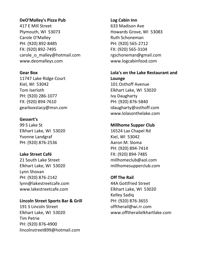#### **DeO'Malley's Pizza Pub**

417 E Mill Street Plymouth, WI 53073 Carole O'Malley PH: (920) 892-8485 FX: (920) 892-7495 carole\_o\_malley@hotmail.com www.deomalleys.com

**Gear Box** 11747 Lake Ridge Court Kiel, WI 53042 Tom Iserloth PH: (920) 286-1077 FX: (920) 894-7610 gearboxstacy@msn.com

#### **Gessert's**

99 S Lake St Elkhart Lake, WI 53020 Yvonne Landgraf PH: (920) 876-2536

#### **Lake Street Café**

21 South Lake Street Elkhart Lake, WI 53020 Lynn Shovan PH: (920) 876-2142 lynn@lakestreetcafe.com www.lakestreetcafe.com

#### **Lincoln Street Sports Bar & Grill**

191 S Lincoln Street Elkhart Lake, WI 53020 Tim Petrie PH: (920) 876-4900 lincolnstreet899@hotmail.com

#### **Log Cabin Inn**

633 Madison Ave Howards Grove, WI 53083 Ruth Schoneman PH: (920) 565-2712 FX: (920) 565-3104 rgschoneman@gmail.com www.logcabinfood.com

# **Lola's on the Lake Restaurant and**

**Lounge** 101 Osthoff Avenue Elkhart Lake, WI 53020 Ivy Daugharty PH: (920) 876-5840 idaugharty@osthoff.com www.lolasonthelake.com

#### **Millhome Supper Club**

16524 Lax Chapel Rd Kiel, WI 53042 Aaron M. Sloma PH: (920) 894-7414 FX: (920) 894-7485 millhomeclub@aol.com millhomesupperclub.com

#### **Off The Rail**

44A Gottfried Street Elkhart Lake, WI 53020 Kelley Sadiq PH: (920) 876-3655 offtherail@wi.rr.com www.offtherailelkhartlake.com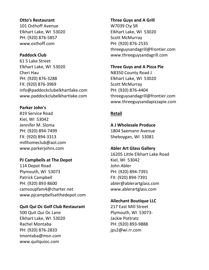#### **Otto's Restaurant**

101 Osthoff Avenue Elkhart Lake, WI 53020 PH: (920) 876-5857 www.osthoff.com

#### **Paddock Club**

61 S Lake Street Elkhart Lake, WI 53020 Cheri Hau PH: (920) 876-3288 FX: (920) 876-3969 info@paddockclubelkhartlake.com www.paddockclubelkhartlake.com

#### **Parker John's**

819 Service Road Kiel, WI 53042 Jennifer M. Sloma PH: (920) 894-7499 FX: (920) 894-3313 millhomeclub@aol.com www.parkerjohns.com

#### **PJ Campbells at The Depot**

114 Depot Road Plymouth, WI 53073 Patrick Campbell PH: (920) 893-8600 camsoupfam4@charter.net www.pjcampbellsatthedepot.com

#### **Quit Qui Oc Golf Club Restaurant**

500 Quit Qui Oc Lane Elkhart Lake, WI 53020 Rachel Montaba PH: (920) 876-2833 tmontaba@msn.com www.quitquioc.com

#### **Three Guys and A Grill**

W7039 Cty SR Elkhart Lake, WI 53020 Scott McMurray PH: (920) 876-2535 threeguysandagrill@frontier.com www.threeguysandagrill.com

#### **Three Guys and A Pizza Pie**

N8350 County Road J Elkhart Lake, WI 53020 Scott McMurray PH: (920) 876-4404 threeguysandagrill@frontier.com www.threeguysandapizzapie.com

#### **Retail**

#### **A J Wholesale Produce**

1804 Saemann Avenue Sheboygan, WI 53081

#### **Abler Art Glass Gallery**

16205 Little Elkhart Lake Road Kiel, WI 53042 John Abler PH: (920) 894-7391 FX: (920) 894-7391 abler@ablerartglass.com www.ablerartglass.com

#### **Allechant Boutique LLC**

217 East Mill Street Plymouth, WI 53073- Jackie Pottratz PH: (920) 893-9888 jps2@wi.rr.com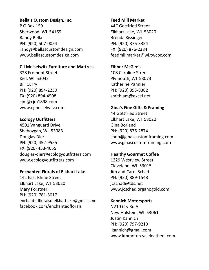#### **Bella's Custom Design, Inc.**

P O Box 159 Sherwood, WI 54169 Randy Bella PH: (920) 507-0054 randy@bellascustomdesign.com www.bellascustomdesign.com

#### **C J Meiselwitz Furniture and Mattress**

328 Fremont Street Kiel, WI 53042 Bill Curry PH: (920) 894-2250 FX: (920) 894-4508 cjm@cjm1898.com www.cjmeiselwitz.com

#### **Ecology Outfitters**

4501 Vanguard Drive Sheboygan, WI 53083 Douglas Dier PH: (920) 452-9555 FX: (920) 453-4055 douglas-dier@ecologyoutfitters.com www.ecologyoutfitters.com

#### **Enchanted Florals of Elkhart Lake**

141 East Rhine Street Elkhart Lake, WI 53020 Mary Forstner PH: (920) 781-5017 enchantedfloralsofelkhartlake@gmail.com facebook.com/enchantedflorals

#### **Feed Mill Market**

44C Gottfried Street Elkhart Lake, WI 53020 Brenda Kissinger PH: (920) 876-3354 FX: (920) 876-2384 feedmillmarket@wi.twcbc.com

#### **Fibber McGee's**

108 Caroline Street Plymouth, WI 53073 Katherine Pannier PH: (920) 893-8382 smithjam@excel.net

#### **Gina's Fine Gifts & Framing**

44 Gottfried Street Elkhart Lake, WI 53020 Gina Borland PH: (920) 876-2874 shop@ginascustomframing.com www.ginascustomframing.com

#### **Healthy Gourmet Coffee**

1229 Westview Street Cleveland, WI 53015 Jim and Carol Schad PH: (920) 889-1548 jcschad@tds.net www.jcschad.organogold.com

#### **Kannich Motorsports**

N210 Cty Rd A New Holstein, WI 53061 Justin Kannich PH: (920) 797-9210 jkannich@gmail.com www.kmmotorcycleleathers.com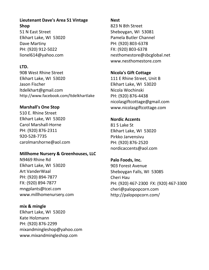#### **Lieutenant Dave's Area 51 Vintage Shop**

51 N East Street Elkhart Lake, WI 53020 Dave Martiny PH: (920) 912-5022 lionel614@yahoo.com

## **LTD.**

90B West Rhine Street Elkhart Lake, WI 53020 Jason Fischer ltdelkhart@gmail.com http://www.facebook.com/ltdelkhartlake

## **Marshall's One Stop**

510 E. Rhine Street Elkhart Lake, WI 53020 Carol Marshall-Horne PH: (920) 876-2311 920-528-7735 carolmarshorne@aol.com

## **Millhome Nursery & Greenhouses, LLC**

N9469 Rhine Rd Elkhart Lake, WI 53020 Art VanderWaal PH: (920) 894-7877 FX: (920) 894-7877 mngplants@tcei.com www.millhomenursery.com

## **mix & mingle**

Elkhart Lake, WI 53020 Kate Holzmann PH: (920) 876-2299 mixandmingleshop@yahoo.com www.mixandmingleshop.com

#### **Nest**

823 N 8th Street Sheboygan, WI 53081 Pamela Butler Channel PH: (920) 803-6378 FX: (920) 803-6378 nesthomestore@sbcglobal.net www.nesthomestore.com

#### **Nicola's Gift Cottage**

111 E Rhine Street, Unit B Elkhart Lake, WI 53020 Nicola Wochinski PH: (920) 876-4438 nicolasgiftcottage@gmail.com www.nicolasgiftcottage.com

#### **Nordic Accents**

81 S Lake St Elkhart Lake, WI 53020 Pirkko Jarvensivu PH: (920) 876-2520 nordicaccents@aol.com

## **Palo Foods, Inc.** 903 Forest Avenue Sheboygan Falls, WI 53085 Cheri Hau PH: (920) 467-2300 FX: (920) 467-3300 cheri@palopopcorn.com http://palopopcorn.com/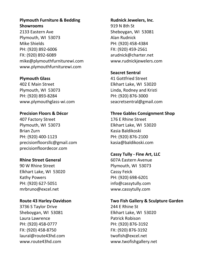#### **Plymouth Furniture & Bedding Showrooms**

2133 Eastern Ave Plymouth, WI 53073 Mike Shields PH: (920) 892-6006 FX: (920) 892-6089 mike@plymouthfurniturewi.com www.plymouthfurniturewi.com

#### **Plymouth Glass**

402 E Main Street Plymouth, WI 53073 PH: (920) 893-8284 www.plymouthglass-wi.com

## **Precision Floors & Décor**

407 Factory Street Plymouth, WI 53073 Brian Zurn PH: (920) 400-1123 precisionfloorsllc@gmail.com precisionfloordecor.com

## **Rhine Street General**

90 W Rhine Street Elkhart Lake, WI 53020 Kathy Powers PH: (920) 627-5051 mrbruno@excel.net

## **Route 43 Harley-Davidson**

3736 S Taylor Drive Sheboygan, WI 53081 Laura Lawrence PH: (920) 458-0777 FX: (920) 458-8750 laural@route43hd.com www.route43hd.com

#### **Rudnick Jewelers, Inc**.

919 N 8th St Sheboygan, WI 53081 Alan Rudnick PH: (920) 458-4384 FX: (920) 459-2561 arudnick@charter.net www.rudnickjewelers.com

## **Seacret Sentral**

41 Gottfried Street Elkhart Lake, WI 53020 Linda, Rodney and Kristi PH: (920) 876-3000 seacretsentral@gmail.com

#### **Three Gables Consignment Shop**

176 E Rhine Street Elkhart Lake, WI 53020 Kasia Baldikoski PH: (920) 876-2100 kasia@baldikoski.com

## **Cassy Tully - Fine Art, LLC**

607A Eastern Avenue Plymouth, WI 53073 Cassy Feick PH: (920) 698-6201 info@cassytully.com www.cassytully.com

## **Two Fish Gallery & Sculpture Garden**

244 E Rhine St Elkhart Lake, WI 53020 Patrick Robison PH: (920) 876-3192 FX: (920) 876-3192 twofish@excel.net www.twofishgallery.net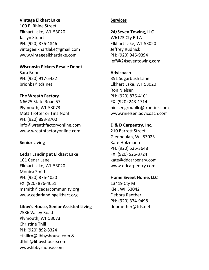#### **Vintage Elkhart Lake**

100 E. Rhine Street Elkhart Lake, WI 53020 Jaclyn Stuart PH: (920) 876-4846 vintageelkhartlake@gmail.com www.vintageelkhartlake.com

#### **Wisconsin Pickers Resale Depot**

Sara Brion PH: (920) 917-5432 brionbs@tds.net

## **The Wreath Factory**

N6625 State Road 57 Plymouth, WI 53073 Matt Trotter or Tina Nohl PH: (920) 893-8700 info@wreathfactoryonline.com www.wreathfactoryonline.com

## **Senior Living**

## **Cedar Landing at Elkhart Lake**

101 Cedar Lane Elkhart Lake, WI 53020 Monica Smith PH: (920) 876-4050 FX: (920) 876-4051 msmith@cedarcommunity.org www.cedarlandingelkhart.org

## **Libby's House, Senior Assisted Living**

2586 Valley Road Plymouth, WI 53073 Christine Thill PH: (920) 892-8324 cthillrn@libbyshouse.com & dthill@libbyshouse.com www.libbyshouse.com

#### **Services**

#### **24/Seven Towing, LLC**

W6173 Cty Rd A Elkhart Lake, WI 53020 Jeffrey Rudnick PH: (920) 946-9394 jeff@24seventowing.com

## **Advicoach**

351 Sugarbush Lane Elkhart Lake, WI 53020 Ron Nielsen PH: (920) 876-4101 FX: (920) 243-1714 nielsengroupllc@frontier.com www.rnielsen.advicoach.com

## **D & D Carpentry, Inc.**

210 Barrett Street Glenbeulah, WI 53023 Kate Holzmann PH: (920) 526-3648 FX: (920) 526-3724 kate@ddcarpentry.com www.ddcarpentry.com

#### **Home Sweet Home, LLC**

13419 Cty M Kiel, WI 53042 Debbra Raether PH: (920) 374-9498 debraether@tds.net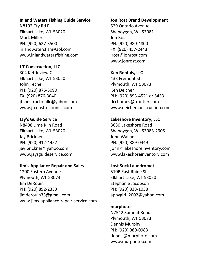#### **Inland Waters Fishing Guide Service**

N8102 Cty Rd P Elkhart Lake, WI 53020- Mark Miller PH: (920) 627-3500 inlandwatersfish@aol.com www.inlandwatersfishing.com

#### **J T Construction, LLC**

304 Kettleview Ct Elkhart Lake, WI 53020 John Techel PH: (920) 876-3090 FX: (920) 876-3040 jtconstructionllc@yahoo.com www.jtconstructionllc.com

#### **Jay's Guide Service**

N8408 Lime Kiln Road Elkhart Lake, WI 53020- Jay Brickner PH: (920) 912-4452 jay.brickner@yahoo.com www.jaysguideservice.com

#### **Jim's Appliance Repair and Sales**

1200 Eastern Avenue Plymouth, WI 53073 Jim DeRouin PH: (920) 892-2333 jimderouin33@gmail.com www.jims-appliance-repair-service.com

#### **Jon Rost Brand Development**

529 Ontario Avenue Sheboygan, WI 53081 Jon Rost PH: (920) 980-4800 FX: (920) 457-2443 jrost@jonrost.com www.jonrost.com

#### **Ken Rentals, LLC**

433 Fremont St. Plymouth, WI 53073 Ken Deicher PH: (920) 893-4521 or 5433 dcchomes@frontier.com www.deicherconstruction.com

#### **Lakeshore Inventory, LLC**

3630 Lakeshore Road Sheboygan, WI 53083-2905 John Wallner PH: (920) 889-0449 john@lakeshoreinventory.com www.lakeshoreinventory.com

#### **Lost Sock Laundromat**

510B East Rhine St Elkhart Lake, WI 53020 Stephanie Jacobson PH: (920) 838-1038 appygirl\_2002@yahoo.com

#### **murphoto**

N7542 Summit Road Plymouth, WI 53073 Dennis Murphy PH: (920) 980-0983 dennis@murphoto.com www.murphoto.com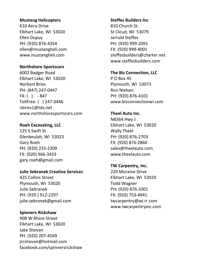#### **Mustang Helicopters**

610 Aero Drive Elkhart Lake, WI 53020 Ellen Dupuy PH: (920) 876-4354 ellen@mustangheli.com www.mustangheli.com

#### **Northshore Sportscars**

6002 Badger Road Elkhart Lake, WI 53020 Norbert Bries PH: (847) 247-0447  $FX: ( ) - 847$ TollFree: ( ) 247-0446 nbries1@tds.net www.northshoresportscars.com

#### **Roeh Excavating, LLC**

125 S Swift St Glenbeulah, WI 53023 Gary Roeh PH: (920) 233-2309 FX: (920) 966-3433 gary.roeh@gmail.com

#### **Julie Sebranek Creative Services**

425 Collins Street Plymouth, WI 53020 Julie Sebranek PH: (920 ) 912-2297 julie.sebranek@gmail.com

#### **Spinners Rickshaw**

90B W Rhine Street Elkhart Lake, WI 53020 Jake Shovan PH: (920) 207-4569 jrcshovan@hotmail.com facebook.com/spinnersrickshaw

## **Steffes Builders Inc**

810 Church St. St Cloud, WI 53079 Jerrold Steffes PH: (920) 999-2091 FX: (920) 999-4001 steffesbuilders@charter.net www.steffesbuilders.com

## **The Biz Connection, LLC**

P O Box 45 Plymouth, WI 53073 Ron Nielsen PH: (920) 876-4101 www.bizconnectionwi.com

#### **Theel Auto Inc.**

N8364 Hwy J Elkhart Lake, WI 53020 Wally Theel PH: (920) 876-2703 FX: (920) 876-2860 sales@theelauto.com www.theelauto.com

## **TW Carpentry, Inc.**

220 Moraine Drive Elkhart Lake, WI 53020 Todd Wagner PH: (920) 876-3301 FX: (920) 753-4941 twcarpentry@wi.rr.com www.twcarpentryinc.com